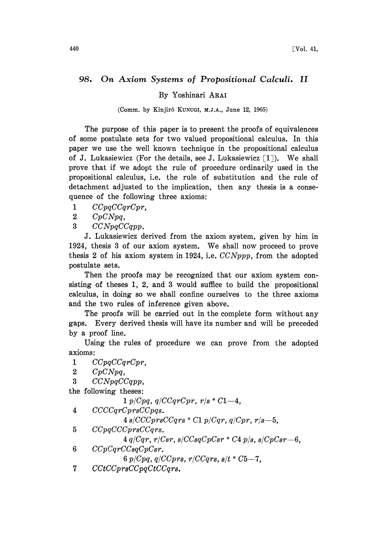## 98. On Axiom Systems of Propositional Calculi. II

By Yoshinari ARAI

(Comm. by Kinjirô KUNUGI, M.J.A., June 12, 1965)

The purpose of this paper is to present the proofs of equivalences of some postulate sets for two valued propositional calculus. In this paper we use the well known technique in the propositional calculus of J. Lukasiewicz (For the details, see J. Lukasiewicz  $\lceil 1 \rceil$ ). We shall prove that if we adopt the rule of procedure ordinarily used in the propositional calculus, i.e. the rule of substitution and the rule of detachment adjusted to the implication, then any thesis is a consequence of the following three axioms:

1 CCpqCCqrCpr.

2 CpCNpq,

3 CCNpqCCqpp.

J. Lukasiewicz derived from the axiom system, given by him in 1924, thesis <sup>3</sup> of our axiom system. We shall now proceed to prove thesis 2 of his axiom system in 1924, i.e.  $CCNppp$ , from the adopted postulate sets.

Then the proofs may be recognized that our axiom system consisting of theses 1, 2, and 3 would suffice to build the propositional calculus, in doing so we shall confine ourselves to the three axioms and the two rules of inference given above.

The proofs will be carried out in the complete form without any gaps. Every derived thesis will have its number and will be preceded by a proof line.

Using the rules of procedure we can prove from the adopted axioms:

1 CCpqCCqrCpr,

2  $CpCNpq$ ,

 $3$   $CCNpqCCqpp$ ,

the following theses:

 $1 p/Cpq, q/CCqrCpr, r/s * C1-4,$ 

4 CCCCqrCprsCCpqs.

 $4 \, s/CCCprsCCqrs \cdot C1 \, p/Cqr, q/Cpr, r/s-5,$ 

5 CCpqCCCprsCCqrs.

 $4 q/Cqr$ ,  $r/Csr$ ,  $s/CCsqCpCsr * C4 p/s$ ,  $s/CpCsr - 6$ ,

6 CCpCqrCCsqCpCsr.

6  $p/Cpq$ ,  $q/CCprs$ ,  $r/CCqrs$ ,  $s/t * C5-7$ ,

 $7$   $CctCCprsCCpqCtCCqrs$ .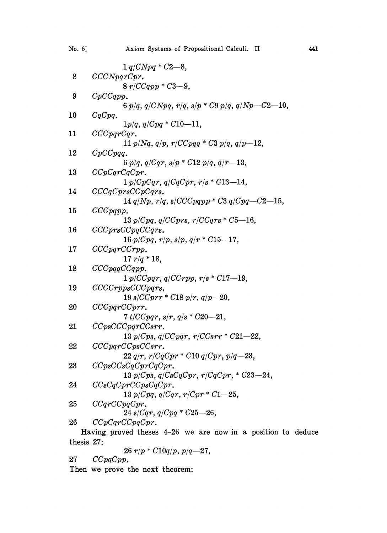| No. 6] | Axiom Systems of Propositional Calculi. II                                     | 441 |
|--------|--------------------------------------------------------------------------------|-----|
|        | $1 q/CNpq * C2 - 8$ ,                                                          |     |
| 8      | CCCNpqrCpr.                                                                    |     |
|        | $8 r/CCqpp * C3 - 9.$                                                          |     |
| 9      | CpCCqpp.                                                                       |     |
|        | 6 $p/q$ , $q/CNpq$ , $r/q$ , $s/p * C9 p/q$ , $q/Np-C2-10$ ,                   |     |
| 10     | CqCpq.                                                                         |     |
|        | $1p/q$ , $q/Cpq * C10-11$ ,                                                    |     |
| 11     | CCCpqrCqr.                                                                     |     |
|        | 11 $p/Nq$ , $q/p$ , $r/CCpqq * C3 p/q$ , $q/p-12$ .                            |     |
| 12     | $CpCCpqq$ .                                                                    |     |
|        | 6 $p/q$ , $q/Cqr$ , $s/p * C12 p/q$ , $q/r-13$ ,                               |     |
| 13     | CCpCqrCqCpr.                                                                   |     |
|        | $1 p/CpCqr$ , $q/CqCpr$ , $r/s * C13-14$ ,                                     |     |
| 14     | CCCqCprsCCpCqrs.                                                               |     |
| 15     | 14 $q/Np$ , $r/q$ , $s/CCCpqpp * C3 q/Cpq - C2 - 15$ ,<br>CCCpqpp.             |     |
|        | 13 $p/Cpq$ , $q/CCprs$ , $r/CCqrs * C5-16$ ,                                   |     |
| 16     | $CCCprsCCpqCCqrs$ .                                                            |     |
|        | $16 p/Cpq$ , $r/p$ , $s/p$ , $q/r * C15-17$ ,                                  |     |
| 17     | CCCparCCFpp.                                                                   |     |
|        | $17 r/q * 18$ ,                                                                |     |
| 18     | CCCpqqCCqpp.                                                                   |     |
|        | $1 p/CCpqr$ , $q/CCrpp$ , $r/s * C17-19$ ,                                     |     |
| 19     | $CCCCrppsCCCpqrs$ .                                                            |     |
|        | 19 s/CCprr * C18 p/r, $q/p=20$ ,                                               |     |
| 20     | CCCpqrCCprr.                                                                   |     |
|        | $7 t/CCpqr$ , $s/r$ , $q/s * C20-21$ ,                                         |     |
| 21     | CCpsCCCpqrCCsrr.                                                               |     |
|        | 13 $p/Cps$ , $q/CCpqr$ , $r/CCsrr * C21 - 22$ ,                                |     |
| 22     | CCCpqrCCpsCCsrr.                                                               |     |
|        | $22 q/r$ , $r/CqCpr * C10 q/Cpr$ , $p/q$ -23,                                  |     |
| 23     | CCpsCCsCqCprCqCpr.                                                             |     |
|        | 13 $p/Cps$ , $q/CsCqCpr$ , $r/CqCpr$ , $*$ $C23-24$ ,                          |     |
| 24     | CCsCqCprCCpsCqCpr.                                                             |     |
|        | 13 $p/Cpq$ , $q/Cqr$ , $r/Cpr * C1-25$ ,                                       |     |
| 25     | CCqrCCpqCpr.                                                                   |     |
|        | 24 s/Cqr, $q/Cpq * C25-26$ ,                                                   |     |
| 26     | CCpCqrCCpqCpr.<br>Having proved theses 4-26 we are now in a position to deduce |     |
|        |                                                                                |     |

thesis 27.

$$
26\ r/p\ ^\ast C10q/p,\ p/q\!\!\!\longrightarrow\!\!27,
$$

27 CCpqCpp.

Then we prove the next theorem: